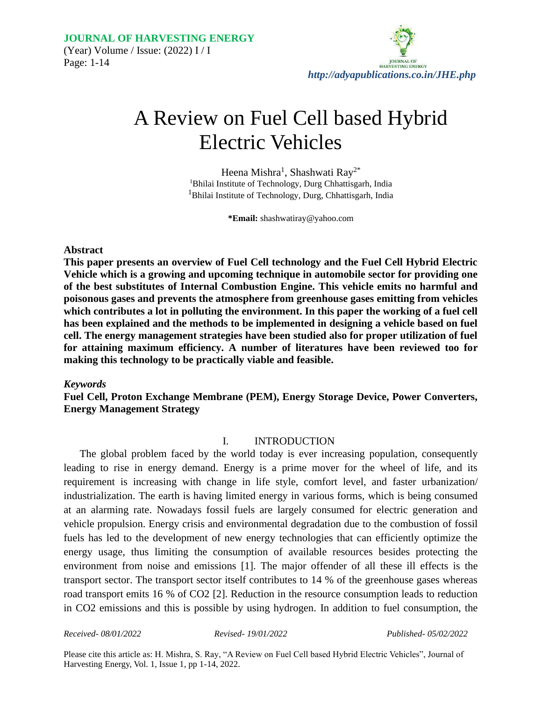

# A Review on Fuel Cell based Hybrid Electric Vehicles

Heena Mishra<sup>1</sup>, Shashwati Ray<sup>2\*</sup> <sup>1</sup>Bhilai Institute of Technology, Durg Chhattisgarh, India <sup>1</sup>Bhilai Institute of Technology, Durg, Chhattisgarh, India

**\*Email:** shashwatiray@yahoo.com

#### **Abstract**

**This paper presents an overview of Fuel Cell technology and the Fuel Cell Hybrid Electric Vehicle which is a growing and upcoming technique in automobile sector for providing one of the best substitutes of Internal Combustion Engine. This vehicle emits no harmful and poisonous gases and prevents the atmosphere from greenhouse gases emitting from vehicles which contributes a lot in polluting the environment. In this paper the working of a fuel cell has been explained and the methods to be implemented in designing a vehicle based on fuel cell. The energy management strategies have been studied also for proper utilization of fuel for attaining maximum efficiency. A number of literatures have been reviewed too for making this technology to be practically viable and feasible.**

#### *Keywords*

**Fuel Cell, Proton Exchange Membrane (PEM), Energy Storage Device, Power Converters, Energy Management Strategy**

#### I. INTRODUCTION

The global problem faced by the world today is ever increasing population, consequently leading to rise in energy demand. Energy is a prime mover for the wheel of life, and its requirement is increasing with change in life style, comfort level, and faster urbanization/ industrialization. The earth is having limited energy in various forms, which is being consumed at an alarming rate. Nowadays fossil fuels are largely consumed for electric generation and vehicle propulsion. Energy crisis and environmental degradation due to the combustion of fossil fuels has led to the development of new energy technologies that can efficiently optimize the energy usage, thus limiting the consumption of available resources besides protecting the environment from noise and emissions [1]. The major offender of all these ill effects is the transport sector. The transport sector itself contributes to 14 % of the greenhouse gases whereas road transport emits 16 % of CO2 [2]. Reduction in the resource consumption leads to reduction in CO2 emissions and this is possible by using hydrogen. In addition to fuel consumption, the

*Received- 08/01/2022 Revised- 19/01/2022 Published- 05/02/2022*

Please cite this article as: H. Mishra, S. Ray, "A Review on Fuel Cell based Hybrid Electric Vehicles", Journal of Harvesting Energy, Vol. 1, Issue 1, pp 1-14, 2022.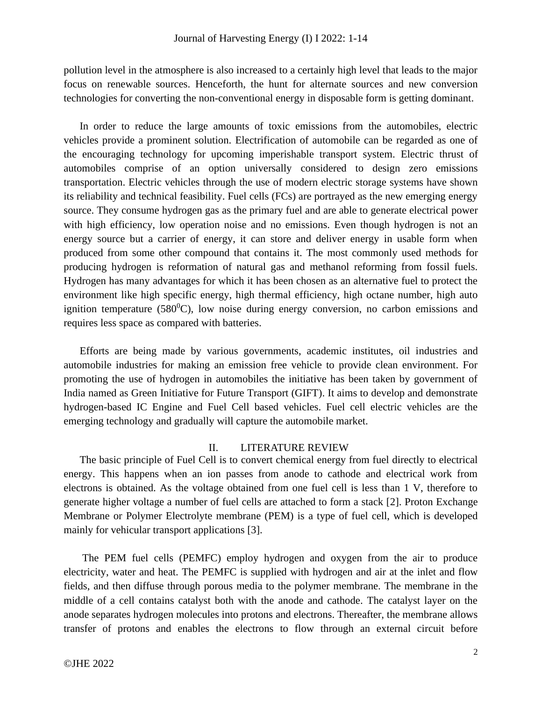pollution level in the atmosphere is also increased to a certainly high level that leads to the major focus on renewable sources. Henceforth, the hunt for alternate sources and new conversion technologies for converting the non-conventional energy in disposable form is getting dominant.

In order to reduce the large amounts of toxic emissions from the automobiles, electric vehicles provide a prominent solution. Electrification of automobile can be regarded as one of the encouraging technology for upcoming imperishable transport system. Electric thrust of automobiles comprise of an option universally considered to design zero emissions transportation. Electric vehicles through the use of modern electric storage systems have shown its reliability and technical feasibility. Fuel cells (FCs) are portrayed as the new emerging energy source. They consume hydrogen gas as the primary fuel and are able to generate electrical power with high efficiency, low operation noise and no emissions. Even though hydrogen is not an energy source but a carrier of energy, it can store and deliver energy in usable form when produced from some other compound that contains it. The most commonly used methods for producing hydrogen is reformation of natural gas and methanol reforming from fossil fuels. Hydrogen has many advantages for which it has been chosen as an alternative fuel to protect the environment like high specific energy, high thermal efficiency, high octane number, high auto ignition temperature  $(580^0C)$ , low noise during energy conversion, no carbon emissions and requires less space as compared with batteries.

Efforts are being made by various governments, academic institutes, oil industries and automobile industries for making an emission free vehicle to provide clean environment. For promoting the use of hydrogen in automobiles the initiative has been taken by government of India named as Green Initiative for Future Transport (GIFT). It aims to develop and demonstrate hydrogen-based IC Engine and Fuel Cell based vehicles. Fuel cell electric vehicles are the emerging technology and gradually will capture the automobile market.

#### II. LITERATURE REVIEW

The basic principle of Fuel Cell is to convert chemical energy from fuel directly to electrical energy. This happens when an ion passes from anode to cathode and electrical work from electrons is obtained. As the voltage obtained from one fuel cell is less than 1 V, therefore to generate higher voltage a number of fuel cells are attached to form a stack [2]. Proton Exchange Membrane or Polymer Electrolyte membrane (PEM) is a type of fuel cell, which is developed mainly for vehicular transport applications [3].

The PEM fuel cells (PEMFC) employ hydrogen and oxygen from the air to produce electricity, water and heat. The PEMFC is supplied with hydrogen and air at the inlet and flow fields, and then diffuse through porous media to the polymer membrane. The membrane in the middle of a cell contains catalyst both with the anode and cathode. The catalyst layer on the anode separates hydrogen molecules into protons and electrons. Thereafter, the membrane allows transfer of protons and enables the electrons to flow through an external circuit before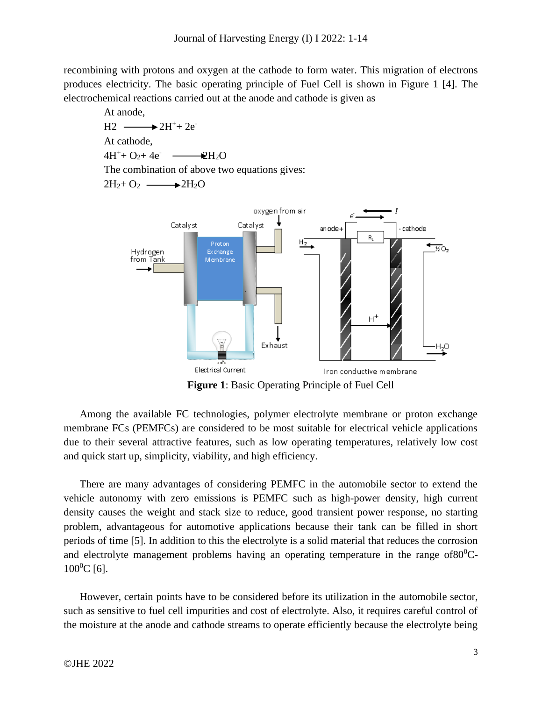recombining with protons and oxygen at the cathode to form water. This migration of electrons produces electricity. The basic operating principle of Fuel Cell is shown in Figure 1 [4]. The electrochemical reactions carried out at the anode and cathode is given as

At anode,  
\nH2 
$$
\longrightarrow
$$
 2H<sup>+</sup>+ 2e<sup>-</sup>  
\nAt cathode,  
\n4H<sup>+</sup>+ O<sub>2</sub>+ 4e<sup>-</sup>  $\longrightarrow$  2H<sub>2</sub>O  
\nThe combination of above two equations gives:  
\n2H<sub>2</sub>+ O<sub>2</sub>  $\longrightarrow$  2H<sub>2</sub>O



**Figure 1**: Basic Operating Principle of Fuel Cell

Among the available FC technologies, polymer electrolyte membrane or proton exchange membrane FCs (PEMFCs) are considered to be most suitable for electrical vehicle applications due to their several attractive features, such as low operating temperatures, relatively low cost and quick start up, simplicity, viability, and high efficiency.

There are many advantages of considering PEMFC in the automobile sector to extend the vehicle autonomy with zero emissions is PEMFC such as high-power density, high current density causes the weight and stack size to reduce, good transient power response, no starting problem, advantageous for automotive applications because their tank can be filled in short periods of time [5]. In addition to this the electrolyte is a solid material that reduces the corrosion and electrolyte management problems having an operating temperature in the range of  $80^0C$ - $100^0C$  [6].

However, certain points have to be considered before its utilization in the automobile sector, such as sensitive to fuel cell impurities and cost of electrolyte. Also, it requires careful control of the moisture at the anode and cathode streams to operate efficiently because the electrolyte being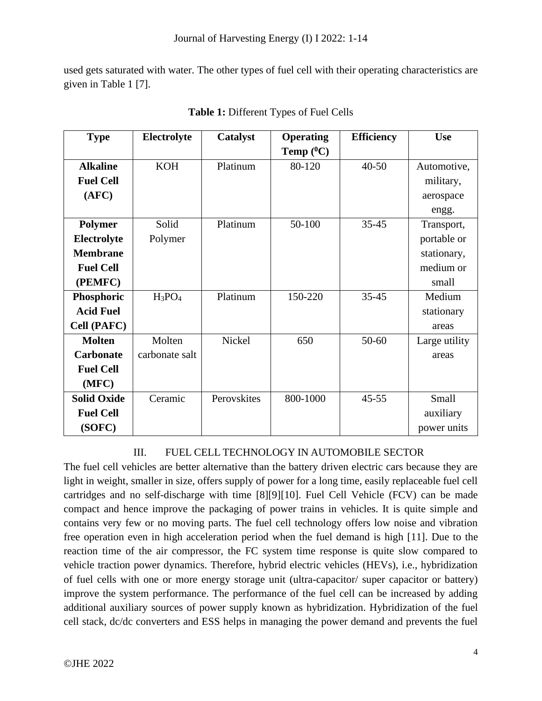used gets saturated with water. The other types of fuel cell with their operating characteristics are given in Table 1 [7].

| <b>Type</b>        | Electrolyte    | Catalyst    | <b>Operating</b> | <b>Efficiency</b> | <b>Use</b>    |
|--------------------|----------------|-------------|------------------|-------------------|---------------|
|                    |                |             | Temp $(^0C)$     |                   |               |
| <b>Alkaline</b>    | <b>KOH</b>     | Platinum    | 80-120           | $40 - 50$         | Automotive,   |
| <b>Fuel Cell</b>   |                |             |                  |                   | military,     |
| (AFC)              |                |             |                  |                   | aerospace     |
|                    |                |             |                  |                   | engg.         |
| <b>Polymer</b>     | Solid          | Platinum    | 50-100           | $35 - 45$         | Transport,    |
| Electrolyte        | Polymer        |             |                  |                   | portable or   |
| <b>Membrane</b>    |                |             |                  |                   | stationary,   |
| <b>Fuel Cell</b>   |                |             |                  |                   | medium or     |
| (PEMFC)            |                |             |                  |                   | small         |
| Phosphoric         | $H_3PO_4$      | Platinum    | 150-220          | $35 - 45$         | Medium        |
| <b>Acid Fuel</b>   |                |             |                  |                   | stationary    |
| <b>Cell (PAFC)</b> |                |             |                  |                   | areas         |
| <b>Molten</b>      | Molten         | Nickel      | 650              | $50 - 60$         | Large utility |
| <b>Carbonate</b>   | carbonate salt |             |                  |                   | areas         |
| <b>Fuel Cell</b>   |                |             |                  |                   |               |
| (MFC)              |                |             |                  |                   |               |
| <b>Solid Oxide</b> | Ceramic        | Perovskites | 800-1000         | $45 - 55$         | Small         |
| <b>Fuel Cell</b>   |                |             |                  |                   | auxiliary     |
| (SOFC)             |                |             |                  |                   | power units   |

**Table 1:** Different Types of Fuel Cells

# III. FUEL CELL TECHNOLOGY IN AUTOMOBILE SECTOR

The fuel cell vehicles are better alternative than the battery driven electric cars because they are light in weight, smaller in size, offers supply of power for a long time, easily replaceable fuel cell cartridges and no self-discharge with time [8][9][10]. Fuel Cell Vehicle (FCV) can be made compact and hence improve the packaging of power trains in vehicles. It is quite simple and contains very few or no moving parts. The fuel cell technology offers low noise and vibration free operation even in high acceleration period when the fuel demand is high [11]. Due to the reaction time of the air compressor, the FC system time response is quite slow compared to vehicle traction power dynamics. Therefore, hybrid electric vehicles (HEVs), i.e., hybridization of fuel cells with one or more energy storage unit (ultra-capacitor/ super capacitor or battery) improve the system performance. The performance of the fuel cell can be increased by adding additional auxiliary sources of power supply known as hybridization. Hybridization of the fuel cell stack, dc/dc converters and ESS helps in managing the power demand and prevents the fuel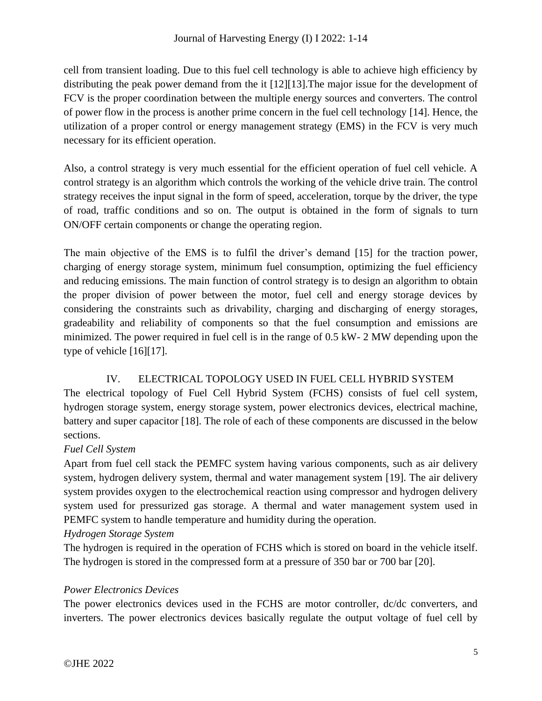## Journal of Harvesting Energy (I) I 2022: 1-14

cell from transient loading. Due to this fuel cell technology is able to achieve high efficiency by distributing the peak power demand from the it [12][13].The major issue for the development of FCV is the proper coordination between the multiple energy sources and converters. The control of power flow in the process is another prime concern in the fuel cell technology [14]. Hence, the utilization of a proper control or energy management strategy (EMS) in the FCV is very much necessary for its efficient operation.

Also, a control strategy is very much essential for the efficient operation of fuel cell vehicle. A control strategy is an algorithm which controls the working of the vehicle drive train. The control strategy receives the input signal in the form of speed, acceleration, torque by the driver, the type of road, traffic conditions and so on. The output is obtained in the form of signals to turn ON/OFF certain components or change the operating region.

The main objective of the EMS is to fulfil the driver's demand [15] for the traction power, charging of energy storage system, minimum fuel consumption, optimizing the fuel efficiency and reducing emissions. The main function of control strategy is to design an algorithm to obtain the proper division of power between the motor, fuel cell and energy storage devices by considering the constraints such as drivability, charging and discharging of energy storages, gradeability and reliability of components so that the fuel consumption and emissions are minimized. The power required in fuel cell is in the range of 0.5 kW- 2 MW depending upon the type of vehicle [16][17].

# IV. ELECTRICAL TOPOLOGY USED IN FUEL CELL HYBRID SYSTEM

The electrical topology of Fuel Cell Hybrid System (FCHS) consists of fuel cell system, hydrogen storage system, energy storage system, power electronics devices, electrical machine, battery and super capacitor [18]. The role of each of these components are discussed in the below sections.

## *Fuel Cell System*

Apart from fuel cell stack the PEMFC system having various components, such as air delivery system, hydrogen delivery system, thermal and water management system [19]. The air delivery system provides oxygen to the electrochemical reaction using compressor and hydrogen delivery system used for pressurized gas storage. A thermal and water management system used in PEMFC system to handle temperature and humidity during the operation.

## *Hydrogen Storage System*

The hydrogen is required in the operation of FCHS which is stored on board in the vehicle itself. The hydrogen is stored in the compressed form at a pressure of 350 bar or 700 bar [20].

## *Power Electronics Devices*

The power electronics devices used in the FCHS are motor controller, dc/dc converters, and inverters. The power electronics devices basically regulate the output voltage of fuel cell by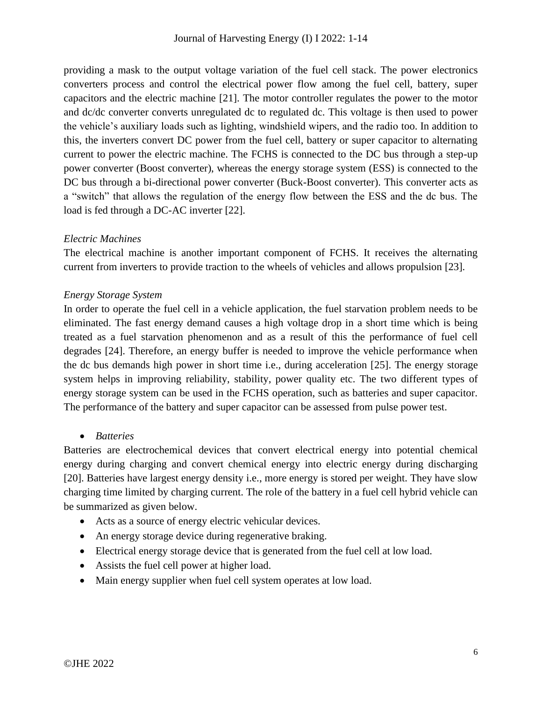providing a mask to the output voltage variation of the fuel cell stack. The power electronics converters process and control the electrical power flow among the fuel cell, battery, super capacitors and the electric machine [21]. The motor controller regulates the power to the motor and dc/dc converter converts unregulated dc to regulated dc. This voltage is then used to power the vehicle's auxiliary loads such as lighting, windshield wipers, and the radio too. In addition to this, the inverters convert DC power from the fuel cell, battery or super capacitor to alternating current to power the electric machine. The FCHS is connected to the DC bus through a step-up power converter (Boost converter), whereas the energy storage system (ESS) is connected to the DC bus through a bi-directional power converter (Buck-Boost converter). This converter acts as a "switch" that allows the regulation of the energy flow between the ESS and the dc bus. The load is fed through a DC-AC inverter [22].

#### *Electric Machines*

The electrical machine is another important component of FCHS. It receives the alternating current from inverters to provide traction to the wheels of vehicles and allows propulsion [23].

#### *Energy Storage System*

In order to operate the fuel cell in a vehicle application, the fuel starvation problem needs to be eliminated. The fast energy demand causes a high voltage drop in a short time which is being treated as a fuel starvation phenomenon and as a result of this the performance of fuel cell degrades [24]. Therefore, an energy buffer is needed to improve the vehicle performance when the dc bus demands high power in short time i.e., during acceleration [25]. The energy storage system helps in improving reliability, stability, power quality etc. The two different types of energy storage system can be used in the FCHS operation, such as batteries and super capacitor. The performance of the battery and super capacitor can be assessed from pulse power test.

• *Batteries*

Batteries are electrochemical devices that convert electrical energy into potential chemical energy during charging and convert chemical energy into electric energy during discharging [20]. Batteries have largest energy density i.e., more energy is stored per weight. They have slow charging time limited by charging current. The role of the battery in a fuel cell hybrid vehicle can be summarized as given below.

- Acts as a source of energy electric vehicular devices.
- An energy storage device during regenerative braking.
- Electrical energy storage device that is generated from the fuel cell at low load.
- Assists the fuel cell power at higher load.
- Main energy supplier when fuel cell system operates at low load.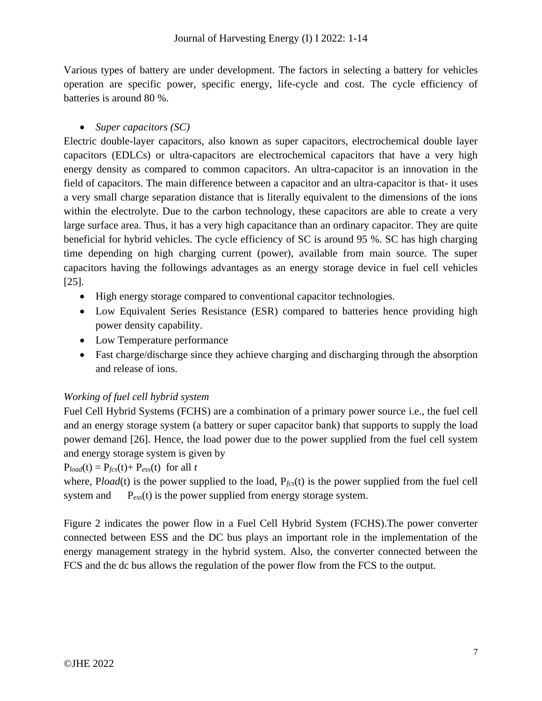Various types of battery are under development. The factors in selecting a battery for vehicles operation are specific power, specific energy, life-cycle and cost. The cycle efficiency of batteries is around 80 %.

## • *Super capacitors (SC)*

Electric double-layer capacitors, also known as super capacitors, electrochemical double layer capacitors (EDLCs) or ultra-capacitors are electrochemical capacitors that have a very high energy density as compared to common capacitors. An ultra-capacitor is an innovation in the field of capacitors. The main difference between a capacitor and an ultra-capacitor is that- it uses a very small charge separation distance that is literally equivalent to the dimensions of the ions within the electrolyte. Due to the carbon technology, these capacitors are able to create a very large surface area. Thus, it has a very high capacitance than an ordinary capacitor. They are quite beneficial for hybrid vehicles. The cycle efficiency of SC is around 95 %. SC has high charging time depending on high charging current (power), available from main source. The super capacitors having the followings advantages as an energy storage device in fuel cell vehicles [25].

- High energy storage compared to conventional capacitor technologies.
- Low Equivalent Series Resistance (ESR) compared to batteries hence providing high power density capability.
- Low Temperature performance
- Fast charge/discharge since they achieve charging and discharging through the absorption and release of ions.

# *Working of fuel cell hybrid system*

Fuel Cell Hybrid Systems (FCHS) are a combination of a primary power source i.e., the fuel cell and an energy storage system (a battery or super capacitor bank) that supports to supply the load power demand [26]. Hence, the load power due to the power supplied from the fuel cell system and energy storage system is given by

# $P_{load}(t) = P_{fcs}(t) + P_{ess}(t)$  for all *t*

where, Pload(t) is the power supplied to the load,  $P_{\text{fcs}}(t)$  is the power supplied from the fuel cell system and P<sub>ess</sub>(t) is the power supplied from energy storage system.

Figure 2 indicates the power flow in a Fuel Cell Hybrid System (FCHS).The power converter connected between ESS and the DC bus plays an important role in the implementation of the energy management strategy in the hybrid system. Also, the converter connected between the FCS and the dc bus allows the regulation of the power flow from the FCS to the output.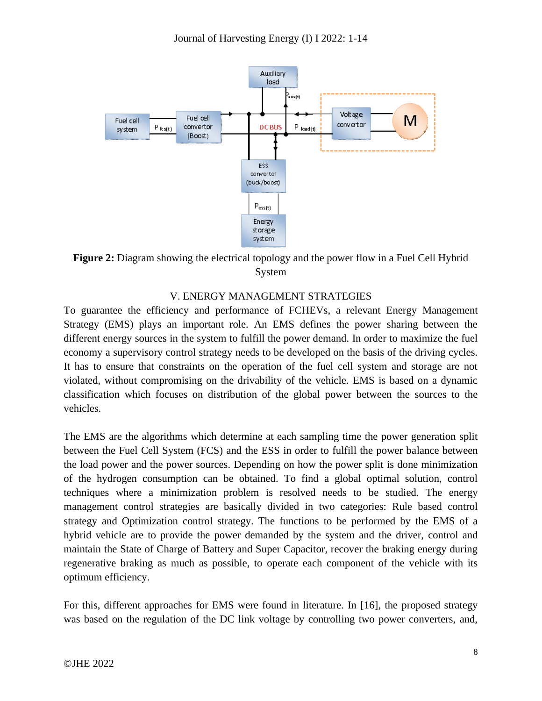

**Figure 2:** Diagram showing the electrical topology and the power flow in a Fuel Cell Hybrid System

#### V. ENERGY MANAGEMENT STRATEGIES

To guarantee the efficiency and performance of FCHEVs, a relevant Energy Management Strategy (EMS) plays an important role. An EMS defines the power sharing between the different energy sources in the system to fulfill the power demand. In order to maximize the fuel economy a supervisory control strategy needs to be developed on the basis of the driving cycles. It has to ensure that constraints on the operation of the fuel cell system and storage are not violated, without compromising on the drivability of the vehicle. EMS is based on a dynamic classification which focuses on distribution of the global power between the sources to the vehicles.

The EMS are the algorithms which determine at each sampling time the power generation split between the Fuel Cell System (FCS) and the ESS in order to fulfill the power balance between the load power and the power sources. Depending on how the power split is done minimization of the hydrogen consumption can be obtained. To find a global optimal solution, control techniques where a minimization problem is resolved needs to be studied. The energy management control strategies are basically divided in two categories: Rule based control strategy and Optimization control strategy. The functions to be performed by the EMS of a hybrid vehicle are to provide the power demanded by the system and the driver, control and maintain the State of Charge of Battery and Super Capacitor, recover the braking energy during regenerative braking as much as possible, to operate each component of the vehicle with its optimum efficiency.

For this, different approaches for EMS were found in literature. In [16], the proposed strategy was based on the regulation of the DC link voltage by controlling two power converters, and,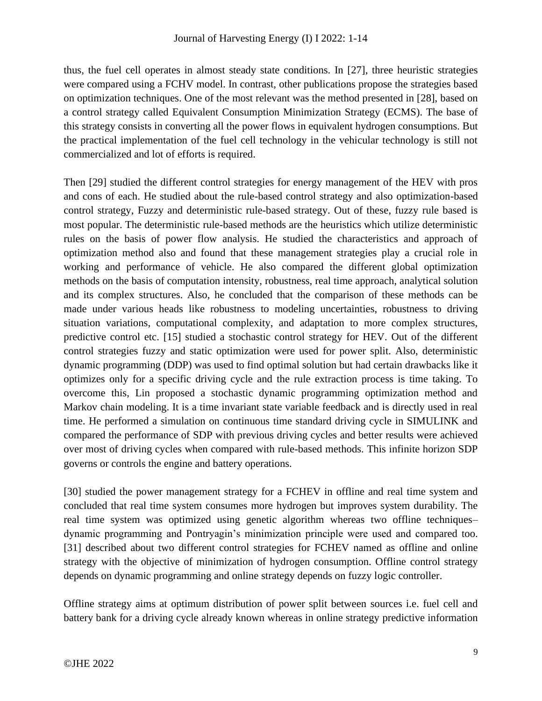thus, the fuel cell operates in almost steady state conditions. In [27], three heuristic strategies were compared using a FCHV model. In contrast, other publications propose the strategies based on optimization techniques. One of the most relevant was the method presented in [28], based on a control strategy called Equivalent Consumption Minimization Strategy (ECMS). The base of this strategy consists in converting all the power flows in equivalent hydrogen consumptions. But the practical implementation of the fuel cell technology in the vehicular technology is still not commercialized and lot of efforts is required.

Then [29] studied the different control strategies for energy management of the HEV with pros and cons of each. He studied about the rule-based control strategy and also optimization-based control strategy, Fuzzy and deterministic rule-based strategy. Out of these, fuzzy rule based is most popular. The deterministic rule-based methods are the heuristics which utilize deterministic rules on the basis of power flow analysis. He studied the characteristics and approach of optimization method also and found that these management strategies play a crucial role in working and performance of vehicle. He also compared the different global optimization methods on the basis of computation intensity, robustness, real time approach, analytical solution and its complex structures. Also, he concluded that the comparison of these methods can be made under various heads like robustness to modeling uncertainties, robustness to driving situation variations, computational complexity, and adaptation to more complex structures, predictive control etc. [15] studied a stochastic control strategy for HEV. Out of the different control strategies fuzzy and static optimization were used for power split. Also, deterministic dynamic programming (DDP) was used to find optimal solution but had certain drawbacks like it optimizes only for a specific driving cycle and the rule extraction process is time taking. To overcome this, Lin proposed a stochastic dynamic programming optimization method and Markov chain modeling. It is a time invariant state variable feedback and is directly used in real time. He performed a simulation on continuous time standard driving cycle in SIMULINK and compared the performance of SDP with previous driving cycles and better results were achieved over most of driving cycles when compared with rule-based methods. This infinite horizon SDP governs or controls the engine and battery operations.

[30] studied the power management strategy for a FCHEV in offline and real time system and concluded that real time system consumes more hydrogen but improves system durability. The real time system was optimized using genetic algorithm whereas two offline techniques– dynamic programming and Pontryagin's minimization principle were used and compared too. [31] described about two different control strategies for FCHEV named as offline and online strategy with the objective of minimization of hydrogen consumption. Offline control strategy depends on dynamic programming and online strategy depends on fuzzy logic controller.

Offline strategy aims at optimum distribution of power split between sources i.e. fuel cell and battery bank for a driving cycle already known whereas in online strategy predictive information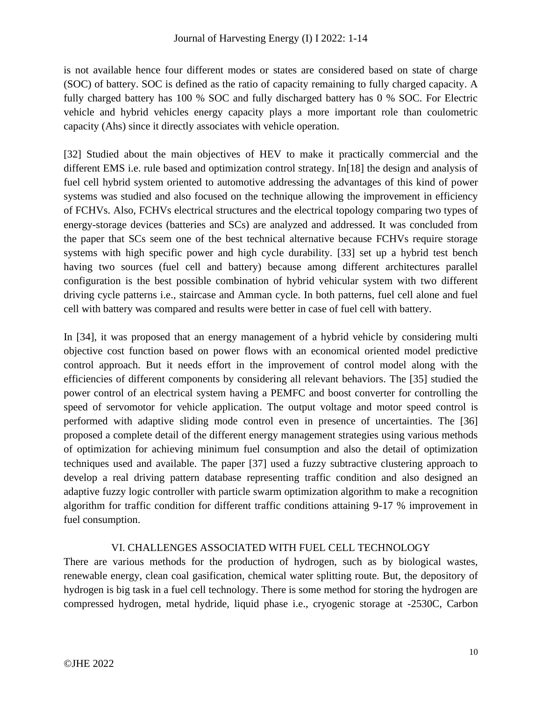is not available hence four different modes or states are considered based on state of charge (SOC) of battery. SOC is defined as the ratio of capacity remaining to fully charged capacity. A fully charged battery has 100 % SOC and fully discharged battery has 0 % SOC. For Electric vehicle and hybrid vehicles energy capacity plays a more important role than coulometric capacity (Ahs) since it directly associates with vehicle operation.

[32] Studied about the main objectives of HEV to make it practically commercial and the different EMS i.e. rule based and optimization control strategy. In[18] the design and analysis of fuel cell hybrid system oriented to automotive addressing the advantages of this kind of power systems was studied and also focused on the technique allowing the improvement in efficiency of FCHVs. Also, FCHVs electrical structures and the electrical topology comparing two types of energy-storage devices (batteries and SCs) are analyzed and addressed. It was concluded from the paper that SCs seem one of the best technical alternative because FCHVs require storage systems with high specific power and high cycle durability. [33] set up a hybrid test bench having two sources (fuel cell and battery) because among different architectures parallel configuration is the best possible combination of hybrid vehicular system with two different driving cycle patterns i.e., staircase and Amman cycle. In both patterns, fuel cell alone and fuel cell with battery was compared and results were better in case of fuel cell with battery.

In [34], it was proposed that an energy management of a hybrid vehicle by considering multi objective cost function based on power flows with an economical oriented model predictive control approach. But it needs effort in the improvement of control model along with the efficiencies of different components by considering all relevant behaviors. The [35] studied the power control of an electrical system having a PEMFC and boost converter for controlling the speed of servomotor for vehicle application. The output voltage and motor speed control is performed with adaptive sliding mode control even in presence of uncertainties. The [36] proposed a complete detail of the different energy management strategies using various methods of optimization for achieving minimum fuel consumption and also the detail of optimization techniques used and available. The paper [37] used a fuzzy subtractive clustering approach to develop a real driving pattern database representing traffic condition and also designed an adaptive fuzzy logic controller with particle swarm optimization algorithm to make a recognition algorithm for traffic condition for different traffic conditions attaining 9-17 % improvement in fuel consumption.

## VI. CHALLENGES ASSOCIATED WITH FUEL CELL TECHNOLOGY

There are various methods for the production of hydrogen, such as by biological wastes, renewable energy, clean coal gasification, chemical water splitting route. But, the depository of hydrogen is big task in a fuel cell technology. There is some method for storing the hydrogen are compressed hydrogen, metal hydride, liquid phase i.e., cryogenic storage at -2530C, Carbon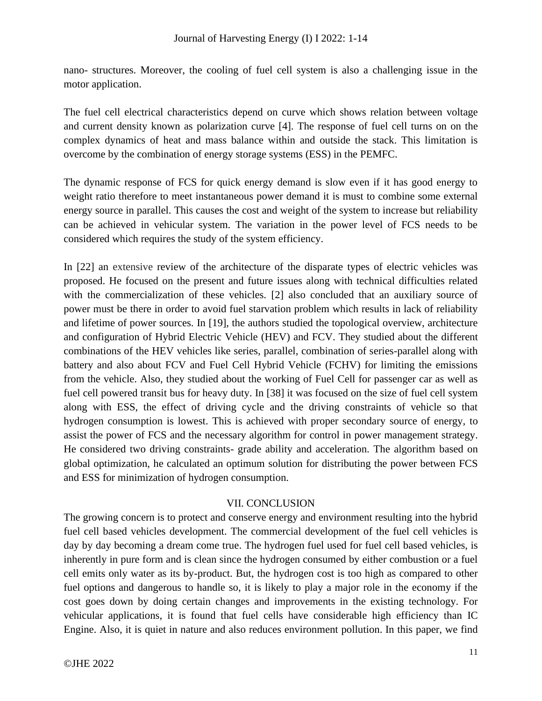nano- structures. Moreover, the cooling of fuel cell system is also a challenging issue in the motor application.

The fuel cell electrical characteristics depend on curve which shows relation between voltage and current density known as polarization curve [4]. The response of fuel cell turns on on the complex dynamics of heat and mass balance within and outside the stack. This limitation is overcome by the combination of energy storage systems (ESS) in the PEMFC.

The dynamic response of FCS for quick energy demand is slow even if it has good energy to weight ratio therefore to meet instantaneous power demand it is must to combine some external energy source in parallel. This causes the cost and weight of the system to increase but reliability can be achieved in vehicular system. The variation in the power level of FCS needs to be considered which requires the study of the system efficiency.

In [22] an extensive review of the architecture of the disparate types of electric vehicles was proposed. He focused on the present and future issues along with technical difficulties related with the commercialization of these vehicles. [2] also concluded that an auxiliary source of power must be there in order to avoid fuel starvation problem which results in lack of reliability and lifetime of power sources. In [19], the authors studied the topological overview, architecture and configuration of Hybrid Electric Vehicle (HEV) and FCV. They studied about the different combinations of the HEV vehicles like series, parallel, combination of series-parallel along with battery and also about FCV and Fuel Cell Hybrid Vehicle (FCHV) for limiting the emissions from the vehicle. Also, they studied about the working of Fuel Cell for passenger car as well as fuel cell powered transit bus for heavy duty. In [38] it was focused on the size of fuel cell system along with ESS, the effect of driving cycle and the driving constraints of vehicle so that hydrogen consumption is lowest. This is achieved with proper secondary source of energy, to assist the power of FCS and the necessary algorithm for control in power management strategy. He considered two driving constraints- grade ability and acceleration. The algorithm based on global optimization, he calculated an optimum solution for distributing the power between FCS and ESS for minimization of hydrogen consumption.

#### VII. CONCLUSION

The growing concern is to protect and conserve energy and environment resulting into the hybrid fuel cell based vehicles development. The commercial development of the fuel cell vehicles is day by day becoming a dream come true. The hydrogen fuel used for fuel cell based vehicles, is inherently in pure form and is clean since the hydrogen consumed by either combustion or a fuel cell emits only water as its by-product. But, the hydrogen cost is too high as compared to other fuel options and dangerous to handle so, it is likely to play a major role in the economy if the cost goes down by doing certain changes and improvements in the existing technology. For vehicular applications, it is found that fuel cells have considerable high efficiency than IC Engine. Also, it is quiet in nature and also reduces environment pollution. In this paper, we find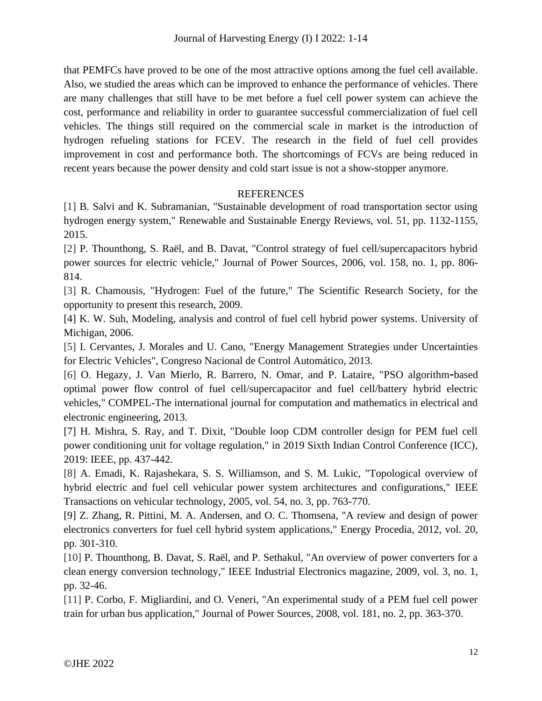that PEMFCs have proved to be one of the most attractive options among the fuel cell available. Also, we studied the areas which can be improved to enhance the performance of vehicles. There are many challenges that still have to be met before a fuel cell power system can achieve the cost, performance and reliability in order to guarantee successful commercialization of fuel cell vehicles. The things still required on the commercial scale in market is the introduction of hydrogen refueling stations for FCEV. The research in the field of fuel cell provides improvement in cost and performance both. The shortcomings of FCVs are being reduced in recent years because the power density and cold start issue is not a show-stopper anymore.

#### **REFERENCES**

[1] B. Salvi and K. Subramanian, "Sustainable development of road transportation sector using hydrogen energy system," Renewable and Sustainable Energy Reviews, vol. 51, pp. 1132-1155, 2015.

[2] P. Thounthong, S. Raël, and B. Davat, "Control strategy of fuel cell/supercapacitors hybrid power sources for electric vehicle," Journal of Power Sources, 2006, vol. 158, no. 1, pp. 806- 814.

[3] R. Chamousis, "Hydrogen: Fuel of the future," The Scientific Research Society, for the opportunity to present this research, 2009.

[4] K. W. Suh, Modeling, analysis and control of fuel cell hybrid power systems. University of Michigan, 2006.

[5] I. Cervantes, J. Morales and U. Cano, "Energy Management Strategies under Uncertainties for Electric Vehicles", Congreso Nacional de Control Automático, 2013.

[6] O. Hegazy, J. Van Mierlo, R. Barrero, N. Omar, and P. Lataire, "PSO algorithm-based optimal power flow control of fuel cell/supercapacitor and fuel cell/battery hybrid electric vehicles," COMPEL-The international journal for computation and mathematics in electrical and electronic engineering, 2013.

[7] H. Mishra, S. Ray, and T. Dixit, "Double loop CDM controller design for PEM fuel cell power conditioning unit for voltage regulation," in 2019 Sixth Indian Control Conference (ICC), 2019: IEEE, pp. 437-442.

[8] A. Emadi, K. Rajashekara, S. S. Williamson, and S. M. Lukic, "Topological overview of hybrid electric and fuel cell vehicular power system architectures and configurations," IEEE Transactions on vehicular technology, 2005, vol. 54, no. 3, pp. 763-770.

[9] Z. Zhang, R. Pittini, M. A. Andersen, and O. C. Thomsena, "A review and design of power electronics converters for fuel cell hybrid system applications," Energy Procedia, 2012, vol. 20, pp. 301-310.

[10] P. Thounthong, B. Davat, S. Raël, and P. Sethakul, "An overview of power converters for a clean energy conversion technology," IEEE Industrial Electronics magazine, 2009, vol. 3, no. 1, pp. 32-46.

[11] P. Corbo, F. Migliardini, and O. Veneri, "An experimental study of a PEM fuel cell power train for urban bus application," Journal of Power Sources, 2008, vol. 181, no. 2, pp. 363-370.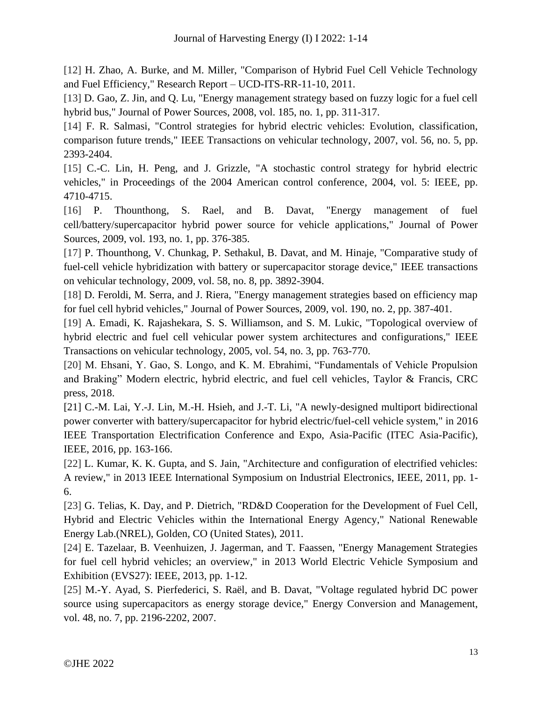[12] H. Zhao, A. Burke, and M. Miller, "Comparison of Hybrid Fuel Cell Vehicle Technology and Fuel Efficiency," Research Report – UCD-ITS-RR-11-10, 2011.

[13] D. Gao, Z. Jin, and Q. Lu, "Energy management strategy based on fuzzy logic for a fuel cell hybrid bus," Journal of Power Sources, 2008, vol. 185, no. 1, pp. 311-317.

[14] F. R. Salmasi, "Control strategies for hybrid electric vehicles: Evolution, classification, comparison future trends," IEEE Transactions on vehicular technology, 2007, vol. 56, no. 5, pp. 2393-2404.

[15] C.-C. Lin, H. Peng, and J. Grizzle, "A stochastic control strategy for hybrid electric vehicles," in Proceedings of the 2004 American control conference, 2004, vol. 5: IEEE, pp. 4710-4715.

[16] P. Thounthong, S. Rael, and B. Davat, "Energy management of fuel cell/battery/supercapacitor hybrid power source for vehicle applications," Journal of Power Sources, 2009, vol. 193, no. 1, pp. 376-385.

[17] P. Thounthong, V. Chunkag, P. Sethakul, B. Davat, and M. Hinaje, "Comparative study of fuel-cell vehicle hybridization with battery or supercapacitor storage device," IEEE transactions on vehicular technology, 2009, vol. 58, no. 8, pp. 3892-3904.

[18] D. Feroldi, M. Serra, and J. Riera, "Energy management strategies based on efficiency map for fuel cell hybrid vehicles," Journal of Power Sources, 2009, vol. 190, no. 2, pp. 387-401.

[19] A. Emadi, K. Rajashekara, S. S. Williamson, and S. M. Lukic, "Topological overview of hybrid electric and fuel cell vehicular power system architectures and configurations," IEEE Transactions on vehicular technology, 2005, vol. 54, no. 3, pp. 763-770.

[20] M. Ehsani, Y. Gao, S. Longo, and K. M. Ebrahimi, "Fundamentals of Vehicle Propulsion and Braking" Modern electric, hybrid electric, and fuel cell vehicles, Taylor & Francis, CRC press, 2018.

[21] C.-M. Lai, Y.-J. Lin, M.-H. Hsieh, and J.-T. Li, "A newly-designed multiport bidirectional power converter with battery/supercapacitor for hybrid electric/fuel-cell vehicle system," in 2016 IEEE Transportation Electrification Conference and Expo, Asia-Pacific (ITEC Asia-Pacific), IEEE, 2016, pp. 163-166.

[22] L. Kumar, K. K. Gupta, and S. Jain, "Architecture and configuration of electrified vehicles: A review," in 2013 IEEE International Symposium on Industrial Electronics, IEEE, 2011, pp. 1- 6.

[23] G. Telias, K. Day, and P. Dietrich, "RD&D Cooperation for the Development of Fuel Cell, Hybrid and Electric Vehicles within the International Energy Agency," National Renewable Energy Lab.(NREL), Golden, CO (United States), 2011.

[24] E. Tazelaar, B. Veenhuizen, J. Jagerman, and T. Faassen, "Energy Management Strategies for fuel cell hybrid vehicles; an overview," in 2013 World Electric Vehicle Symposium and Exhibition (EVS27): IEEE, 2013, pp. 1-12.

[25] M.-Y. Ayad, S. Pierfederici, S. Raël, and B. Davat, "Voltage regulated hybrid DC power source using supercapacitors as energy storage device," Energy Conversion and Management, vol. 48, no. 7, pp. 2196-2202, 2007.